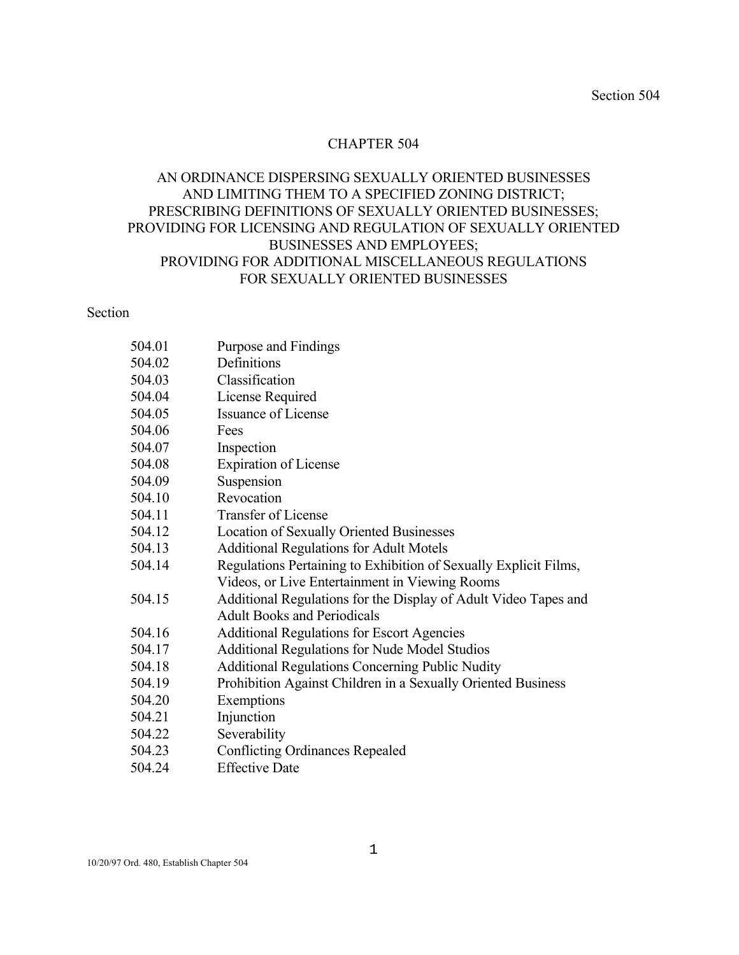#### CHAPTER 504

# AN ORDINANCE DISPERSING SEXUALLY ORIENTED BUSINESSES AND LIMITING THEM TO A SPECIFIED ZONING DISTRICT; PRESCRIBING DEFINITIONS OF SEXUALLY ORIENTED BUSINESSES; PROVIDING FOR LICENSING AND REGULATION OF SEXUALLY ORIENTED BUSINESSES AND EMPLOYEES; PROVIDING FOR ADDITIONAL MISCELLANEOUS REGULATIONS FOR SEXUALLY ORIENTED BUSINESSES

# Section

| 504.01 | Purpose and Findings                                             |
|--------|------------------------------------------------------------------|
| 504.02 | Definitions                                                      |
| 504.03 | Classification                                                   |
| 504.04 | License Required                                                 |
| 504.05 | Issuance of License                                              |
| 504.06 | Fees                                                             |
| 504.07 | Inspection                                                       |
| 504.08 | Expiration of License                                            |
| 504.09 | Suspension                                                       |
| 504.10 | Revocation                                                       |
| 504.11 | Transfer of License                                              |
| 504.12 | <b>Location of Sexually Oriented Businesses</b>                  |
| 504.13 | <b>Additional Regulations for Adult Motels</b>                   |
| 504.14 | Regulations Pertaining to Exhibition of Sexually Explicit Films, |
|        | Videos, or Live Entertainment in Viewing Rooms                   |
| 504.15 | Additional Regulations for the Display of Adult Video Tapes and  |
|        | <b>Adult Books and Periodicals</b>                               |
| 504.16 | <b>Additional Regulations for Escort Agencies</b>                |
| 504.17 | <b>Additional Regulations for Nude Model Studios</b>             |
| 504.18 | <b>Additional Regulations Concerning Public Nudity</b>           |
| 504.19 | Prohibition Against Children in a Sexually Oriented Business     |
| 504.20 | Exemptions                                                       |
| 504.21 | Injunction                                                       |
| 504.22 | Severability                                                     |
| 504.23 | <b>Conflicting Ordinances Repealed</b>                           |
| 504.24 | <b>Effective Date</b>                                            |
|        |                                                                  |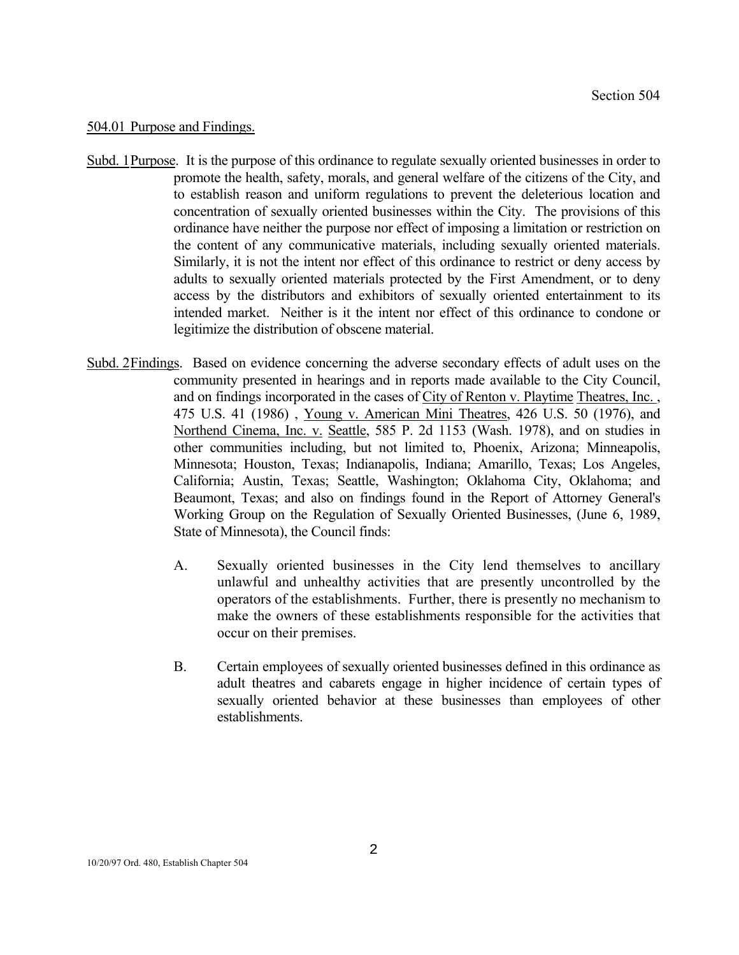#### 504.01 Purpose and Findings.

- Subd. 1 Purpose. It is the purpose of this ordinance to regulate sexually oriented businesses in order to promote the health, safety, morals, and general welfare of the citizens of the City, and to establish reason and uniform regulations to prevent the deleterious location and concentration of sexually oriented businesses within the City. The provisions of this ordinance have neither the purpose nor effect of imposing a limitation or restriction on the content of any communicative materials, including sexually oriented materials. Similarly, it is not the intent nor effect of this ordinance to restrict or deny access by adults to sexually oriented materials protected by the First Amendment, or to deny access by the distributors and exhibitors of sexually oriented entertainment to its intended market. Neither is it the intent nor effect of this ordinance to condone or legitimize the distribution of obscene material.
- Subd. 2 Findings. Based on evidence concerning the adverse secondary effects of adult uses on the community presented in hearings and in reports made available to the City Council, and on findings incorporated in the cases of City of Renton v. Playtime Theatres, Inc. , 475 U.S. 41 (1986) , Young v. American Mini Theatres, 426 U.S. 50 (1976), and Northend Cinema, Inc. v. Seattle, 585 P. 2d 1153 (Wash. 1978), and on studies in other communities including, but not limited to, Phoenix, Arizona; Minneapolis, Minnesota; Houston, Texas; Indianapolis, Indiana; Amarillo, Texas; Los Angeles, California; Austin, Texas; Seattle, Washington; Oklahoma City, Oklahoma; and Beaumont, Texas; and also on findings found in the Report of Attorney General's Working Group on the Regulation of Sexually Oriented Businesses, (June 6, 1989, State of Minnesota), the Council finds:
	- A. Sexually oriented businesses in the City lend themselves to ancillary unlawful and unhealthy activities that are presently uncontrolled by the operators of the establishments. Further, there is presently no mechanism to make the owners of these establishments responsible for the activities that occur on their premises.
	- B. Certain employees of sexually oriented businesses defined in this ordinance as adult theatres and cabarets engage in higher incidence of certain types of sexually oriented behavior at these businesses than employees of other establishments.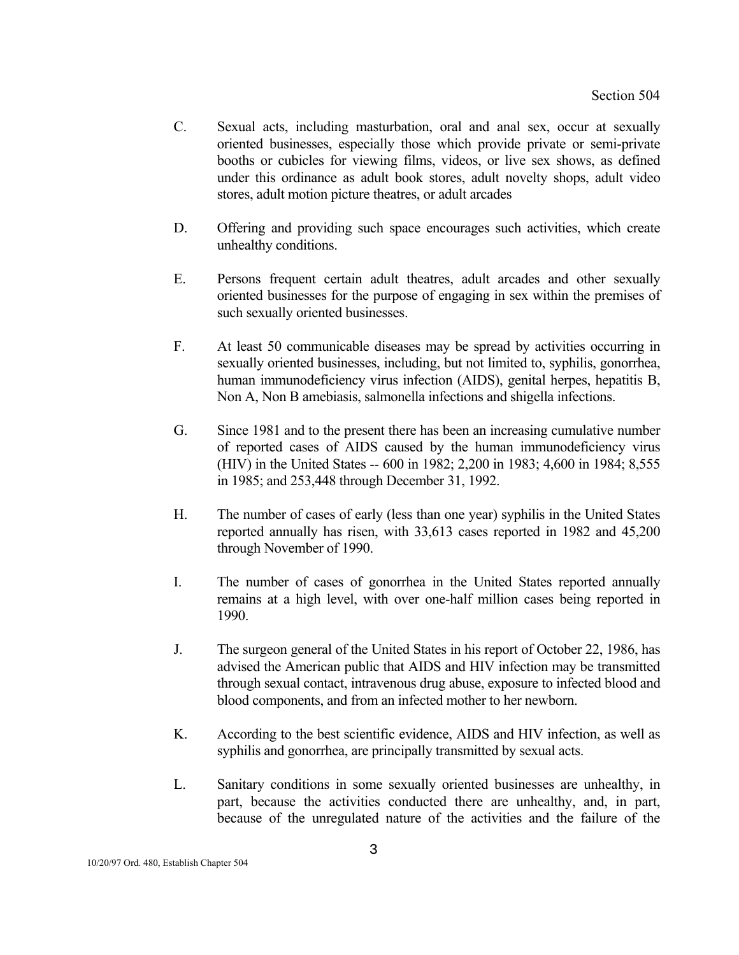- C. Sexual acts, including masturbation, oral and anal sex, occur at sexually oriented businesses, especially those which provide private or semi-private booths or cubicles for viewing films, videos, or live sex shows, as defined under this ordinance as adult book stores, adult novelty shops, adult video stores, adult motion picture theatres, or adult arcades
- D. Offering and providing such space encourages such activities, which create unhealthy conditions.
- E. Persons frequent certain adult theatres, adult arcades and other sexually oriented businesses for the purpose of engaging in sex within the premises of such sexually oriented businesses.
- F. At least 50 communicable diseases may be spread by activities occurring in sexually oriented businesses, including, but not limited to, syphilis, gonorrhea, human immunodeficiency virus infection (AIDS), genital herpes, hepatitis B, Non A, Non B amebiasis, salmonella infections and shigella infections.
- G. Since 1981 and to the present there has been an increasing cumulative number of reported cases of AIDS caused by the human immunodeficiency virus (HIV) in the United States -- 600 in 1982; 2,200 in 1983; 4,600 in 1984; 8,555 in 1985; and 253,448 through December 31, 1992.
- H. The number of cases of early (less than one year) syphilis in the United States reported annually has risen, with 33,613 cases reported in 1982 and 45,200 through November of 1990.
- I. The number of cases of gonorrhea in the United States reported annually remains at a high level, with over one-half million cases being reported in 1990.
- J. The surgeon general of the United States in his report of October 22, 1986, has advised the American public that AIDS and HIV infection may be transmitted through sexual contact, intravenous drug abuse, exposure to infected blood and blood components, and from an infected mother to her newborn.
- K. According to the best scientific evidence, AIDS and HIV infection, as well as syphilis and gonorrhea, are principally transmitted by sexual acts.
- L. Sanitary conditions in some sexually oriented businesses are unhealthy, in part, because the activities conducted there are unhealthy, and, in part, because of the unregulated nature of the activities and the failure of the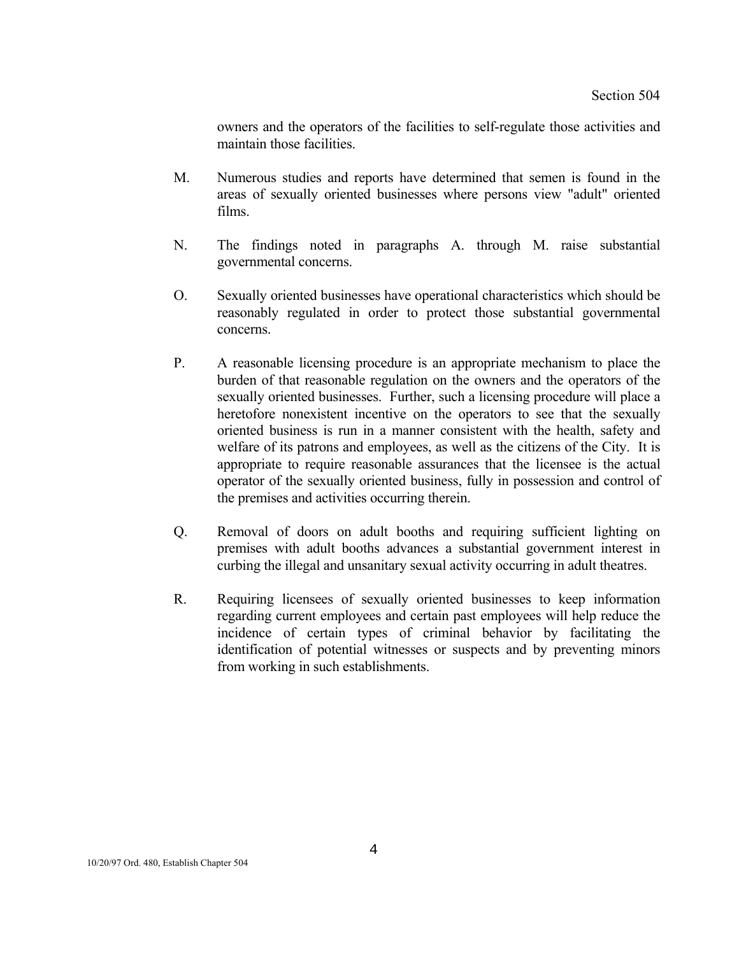owners and the operators of the facilities to self-regulate those activities and maintain those facilities.

- M. Numerous studies and reports have determined that semen is found in the areas of sexually oriented businesses where persons view "adult" oriented films.
- N. The findings noted in paragraphs A. through M. raise substantial governmental concerns.
- O. Sexually oriented businesses have operational characteristics which should be reasonably regulated in order to protect those substantial governmental concerns.
- P. A reasonable licensing procedure is an appropriate mechanism to place the burden of that reasonable regulation on the owners and the operators of the sexually oriented businesses. Further, such a licensing procedure will place a heretofore nonexistent incentive on the operators to see that the sexually oriented business is run in a manner consistent with the health, safety and welfare of its patrons and employees, as well as the citizens of the City. It is appropriate to require reasonable assurances that the licensee is the actual operator of the sexually oriented business, fully in possession and control of the premises and activities occurring therein.
- Q. Removal of doors on adult booths and requiring sufficient lighting on premises with adult booths advances a substantial government interest in curbing the illegal and unsanitary sexual activity occurring in adult theatres.
- R. Requiring licensees of sexually oriented businesses to keep information regarding current employees and certain past employees will help reduce the incidence of certain types of criminal behavior by facilitating the identification of potential witnesses or suspects and by preventing minors from working in such establishments.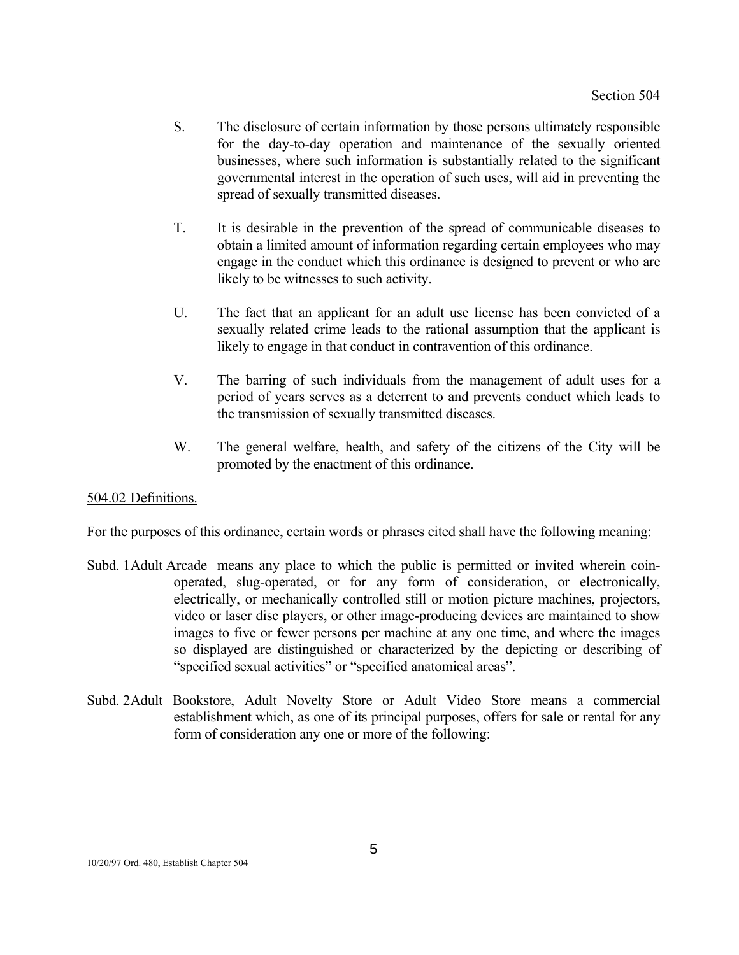- S. The disclosure of certain information by those persons ultimately responsible for the day-to-day operation and maintenance of the sexually oriented businesses, where such information is substantially related to the significant governmental interest in the operation of such uses, will aid in preventing the spread of sexually transmitted diseases.
- T. It is desirable in the prevention of the spread of communicable diseases to obtain a limited amount of information regarding certain employees who may engage in the conduct which this ordinance is designed to prevent or who are likely to be witnesses to such activity.
- U. The fact that an applicant for an adult use license has been convicted of a sexually related crime leads to the rational assumption that the applicant is likely to engage in that conduct in contravention of this ordinance.
- V. The barring of such individuals from the management of adult uses for a period of years serves as a deterrent to and prevents conduct which leads to the transmission of sexually transmitted diseases.
- W. The general welfare, health, and safety of the citizens of the City will be promoted by the enactment of this ordinance.

## 504.02 Definitions.

For the purposes of this ordinance, certain words or phrases cited shall have the following meaning:

- Subd. 1 Adult Arcade means any place to which the public is permitted or invited wherein coinoperated, slug-operated, or for any form of consideration, or electronically, electrically, or mechanically controlled still or motion picture machines, projectors, video or laser disc players, or other image-producing devices are maintained to show images to five or fewer persons per machine at any one time, and where the images so displayed are distinguished or characterized by the depicting or describing of "specified sexual activities" or "specified anatomical areas".
- Subd. 2Adult Bookstore, Adult Novelty Store or Adult Video Store means a commercial establishment which, as one of its principal purposes, offers for sale or rental for any form of consideration any one or more of the following: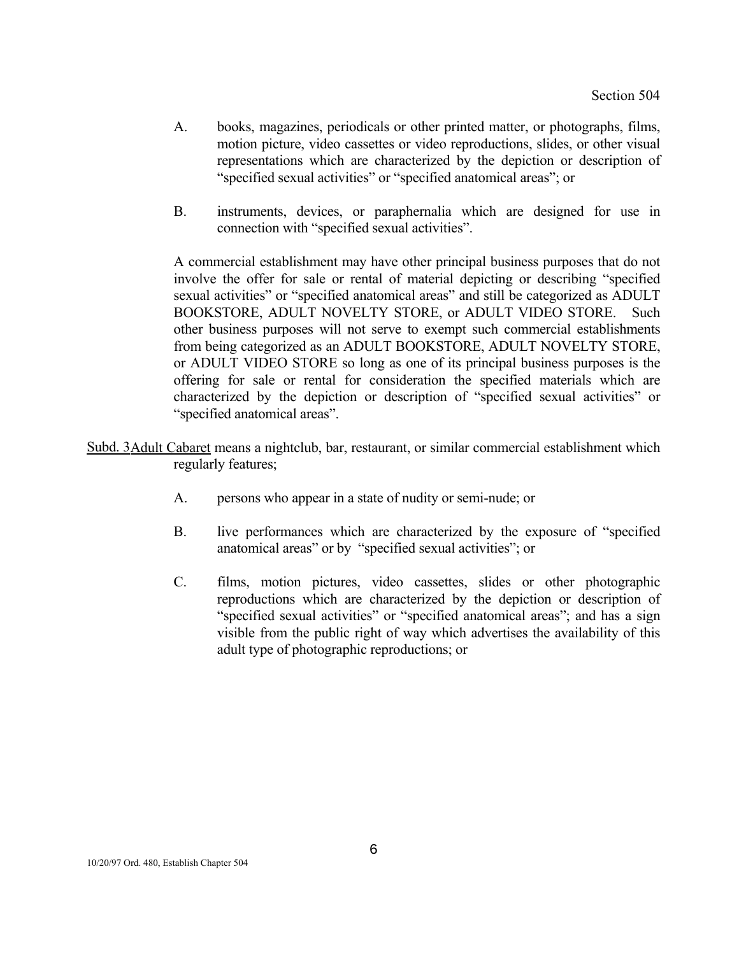- A. books, magazines, periodicals or other printed matter, or photographs, films, motion picture, video cassettes or video reproductions, slides, or other visual representations which are characterized by the depiction or description of "specified sexual activities" or "specified anatomical areas"; or
- B. instruments, devices, or paraphernalia which are designed for use in connection with "specified sexual activities".

 A commercial establishment may have other principal business purposes that do not involve the offer for sale or rental of material depicting or describing "specified sexual activities" or "specified anatomical areas" and still be categorized as ADULT BOOKSTORE, ADULT NOVELTY STORE, or ADULT VIDEO STORE.Such other business purposes will not serve to exempt such commercial establishments from being categorized as an ADULT BOOKSTORE, ADULT NOVELTY STORE, or ADULT VIDEO STORE so long as one of its principal business purposes is the offering for sale or rental for consideration the specified materials which are characterized by the depiction or description of "specified sexual activities" or "specified anatomical areas".

- Subd. 3 Adult Cabaret means a nightclub, bar, restaurant, or similar commercial establishment which regularly features;
	- A. persons who appear in a state of nudity or semi-nude; or
	- B. live performances which are characterized by the exposure of "specified anatomical areas" or by "specified sexual activities"; or
	- C. films, motion pictures, video cassettes, slides or other photographic reproductions which are characterized by the depiction or description of "specified sexual activities" or "specified anatomical areas"; and has a sign visible from the public right of way which advertises the availability of this adult type of photographic reproductions; or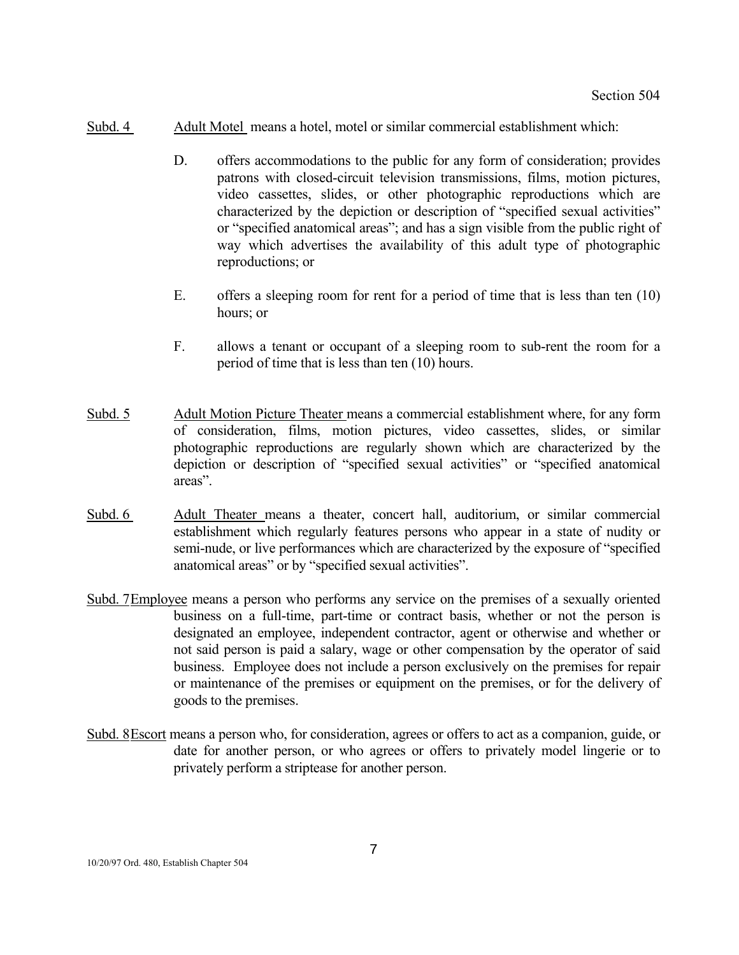- Subd. 4 Adult Motel means a hotel, motel or similar commercial establishment which:
	- D. offers accommodations to the public for any form of consideration; provides patrons with closed-circuit television transmissions, films, motion pictures, video cassettes, slides, or other photographic reproductions which are characterized by the depiction or description of "specified sexual activities" or "specified anatomical areas"; and has a sign visible from the public right of way which advertises the availability of this adult type of photographic reproductions; or
	- E. offers a sleeping room for rent for a period of time that is less than ten (10) hours; or
	- F. allows a tenant or occupant of a sleeping room to sub-rent the room for a period of time that is less than ten (10) hours.
- Subd. 5 Adult Motion Picture Theater means a commercial establishment where, for any form of consideration, films, motion pictures, video cassettes, slides, or similar photographic reproductions are regularly shown which are characterized by the depiction or description of "specified sexual activities" or "specified anatomical areas".
- Subd. 6 Adult Theater means a theater, concert hall, auditorium, or similar commercial establishment which regularly features persons who appear in a state of nudity or semi-nude, or live performances which are characterized by the exposure of "specified anatomical areas" or by "specified sexual activities".
- Subd. 7 Employee means a person who performs any service on the premises of a sexually oriented business on a full-time, part-time or contract basis, whether or not the person is designated an employee, independent contractor, agent or otherwise and whether or not said person is paid a salary, wage or other compensation by the operator of said business. Employee does not include a person exclusively on the premises for repair or maintenance of the premises or equipment on the premises, or for the delivery of goods to the premises.
- Subd. 8 Escort means a person who, for consideration, agrees or offers to act as a companion, guide, or date for another person, or who agrees or offers to privately model lingerie or to privately perform a striptease for another person.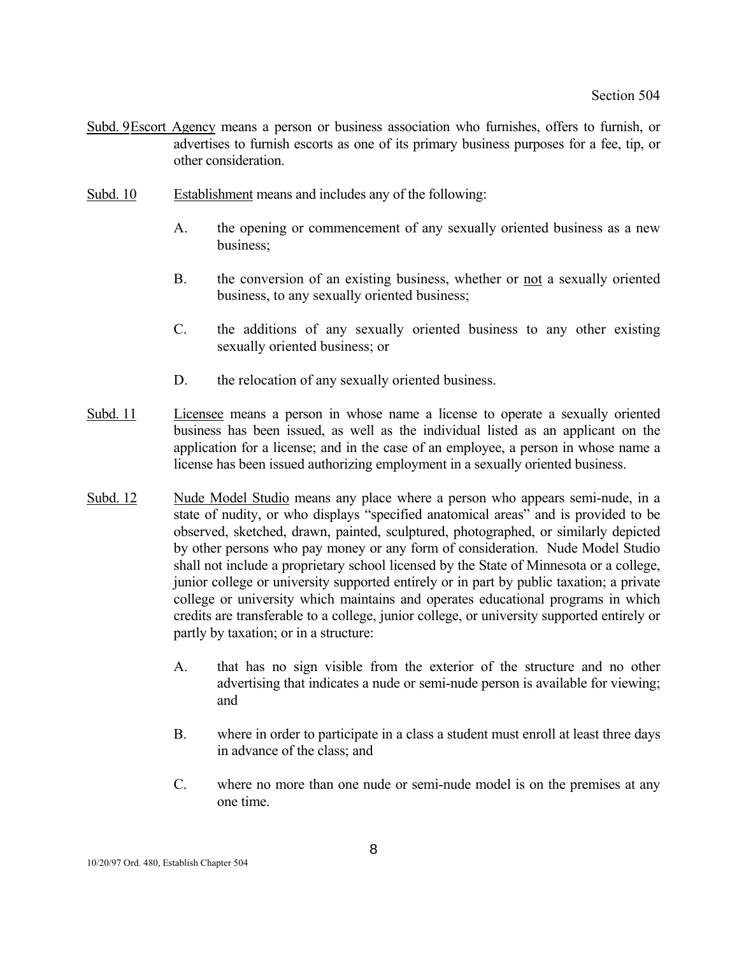- Subd. 9 Escort Agency means a person or business association who furnishes, offers to furnish, or advertises to furnish escorts as one of its primary business purposes for a fee, tip, or other consideration.
- Subd. 10 Establishment means and includes any of the following:
	- A. the opening or commencement of any sexually oriented business as a new business;
	- B. the conversion of an existing business, whether or not a sexually oriented business, to any sexually oriented business;
	- C. the additions of any sexually oriented business to any other existing sexually oriented business; or
	- D. the relocation of any sexually oriented business.
- Subd. 11 Licensee means a person in whose name a license to operate a sexually oriented business has been issued, as well as the individual listed as an applicant on the application for a license; and in the case of an employee, a person in whose name a license has been issued authorizing employment in a sexually oriented business.
- Subd. 12 Nude Model Studio means any place where a person who appears semi-nude, in a state of nudity, or who displays "specified anatomical areas" and is provided to be observed, sketched, drawn, painted, sculptured, photographed, or similarly depicted by other persons who pay money or any form of consideration. Nude Model Studio shall not include a proprietary school licensed by the State of Minnesota or a college, junior college or university supported entirely or in part by public taxation; a private college or university which maintains and operates educational programs in which credits are transferable to a college, junior college, or university supported entirely or partly by taxation; or in a structure:
	- A. that has no sign visible from the exterior of the structure and no other advertising that indicates a nude or semi-nude person is available for viewing; and
	- B. where in order to participate in a class a student must enroll at least three days in advance of the class; and
	- C. where no more than one nude or semi-nude model is on the premises at any one time.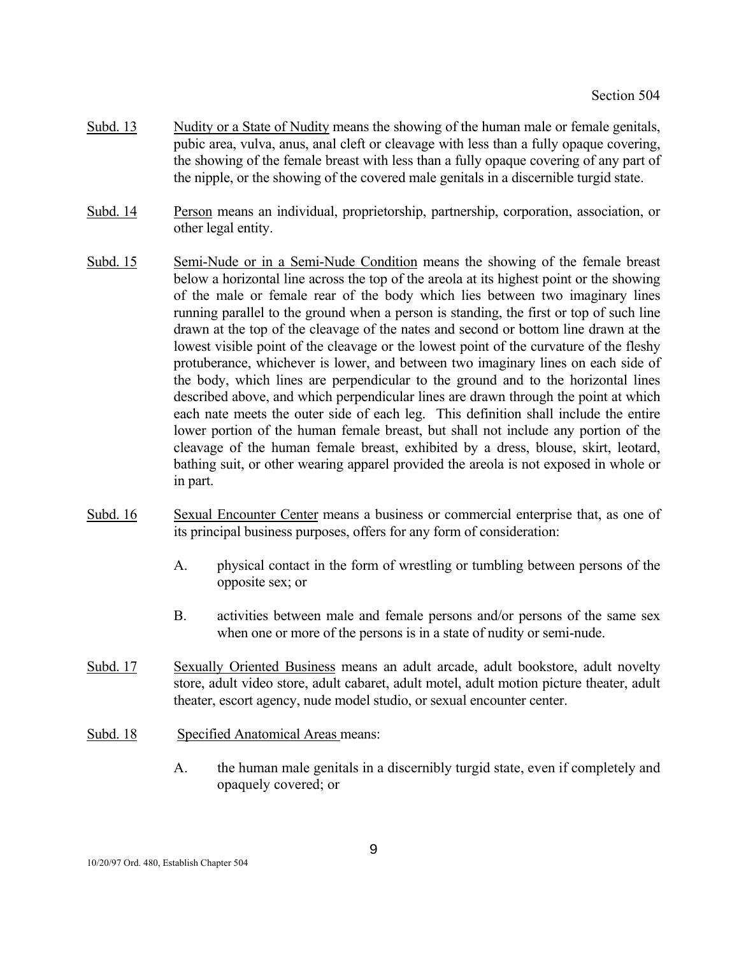- Subd. 13 Nudity or a State of Nudity means the showing of the human male or female genitals, pubic area, vulva, anus, anal cleft or cleavage with less than a fully opaque covering, the showing of the female breast with less than a fully opaque covering of any part of the nipple, or the showing of the covered male genitals in a discernible turgid state.
- Subd. 14 Person means an individual, proprietorship, partnership, corporation, association, or other legal entity.
- Subd. 15 Semi-Nude or in a Semi-Nude Condition means the showing of the female breast below a horizontal line across the top of the areola at its highest point or the showing of the male or female rear of the body which lies between two imaginary lines running parallel to the ground when a person is standing, the first or top of such line drawn at the top of the cleavage of the nates and second or bottom line drawn at the lowest visible point of the cleavage or the lowest point of the curvature of the fleshy protuberance, whichever is lower, and between two imaginary lines on each side of the body, which lines are perpendicular to the ground and to the horizontal lines described above, and which perpendicular lines are drawn through the point at which each nate meets the outer side of each leg. This definition shall include the entire lower portion of the human female breast, but shall not include any portion of the cleavage of the human female breast, exhibited by a dress, blouse, skirt, leotard, bathing suit, or other wearing apparel provided the areola is not exposed in whole or in part.
- Subd. 16 Sexual Encounter Center means a business or commercial enterprise that, as one of its principal business purposes, offers for any form of consideration:
	- A. physical contact in the form of wrestling or tumbling between persons of the opposite sex; or
	- B. activities between male and female persons and/or persons of the same sex when one or more of the persons is in a state of nudity or semi-nude.
- Subd. 17 Sexually Oriented Business means an adult arcade, adult bookstore, adult novelty store, adult video store, adult cabaret, adult motel, adult motion picture theater, adult theater, escort agency, nude model studio, or sexual encounter center.
- Subd. 18 Specified Anatomical Areas means:
	- A. the human male genitals in a discernibly turgid state, even if completely and opaquely covered; or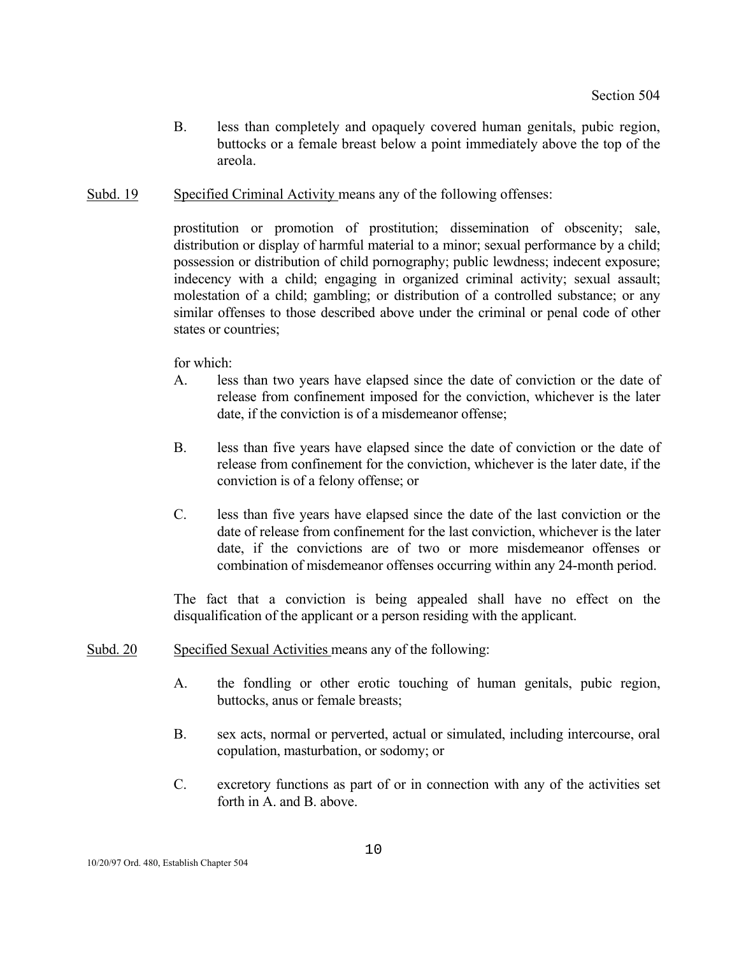- B. less than completely and opaquely covered human genitals, pubic region, buttocks or a female breast below a point immediately above the top of the areola.
- Subd. 19 Specified Criminal Activity means any of the following offenses:

 prostitution or promotion of prostitution; dissemination of obscenity; sale, distribution or display of harmful material to a minor; sexual performance by a child; possession or distribution of child pornography; public lewdness; indecent exposure; indecency with a child; engaging in organized criminal activity; sexual assault; molestation of a child; gambling; or distribution of a controlled substance; or any similar offenses to those described above under the criminal or penal code of other states or countries;

for which:

- A. less than two years have elapsed since the date of conviction or the date of release from confinement imposed for the conviction, whichever is the later date, if the conviction is of a misdemeanor offense;
- B. less than five years have elapsed since the date of conviction or the date of release from confinement for the conviction, whichever is the later date, if the conviction is of a felony offense; or
- C. less than five years have elapsed since the date of the last conviction or the date of release from confinement for the last conviction, whichever is the later date, if the convictions are of two or more misdemeanor offenses or combination of misdemeanor offenses occurring within any 24-month period.

 The fact that a conviction is being appealed shall have no effect on the disqualification of the applicant or a person residing with the applicant.

- Subd. 20 Specified Sexual Activities means any of the following:
	- A. the fondling or other erotic touching of human genitals, pubic region, buttocks, anus or female breasts;
	- B. sex acts, normal or perverted, actual or simulated, including intercourse, oral copulation, masturbation, or sodomy; or
	- C. excretory functions as part of or in connection with any of the activities set forth in A. and B. above.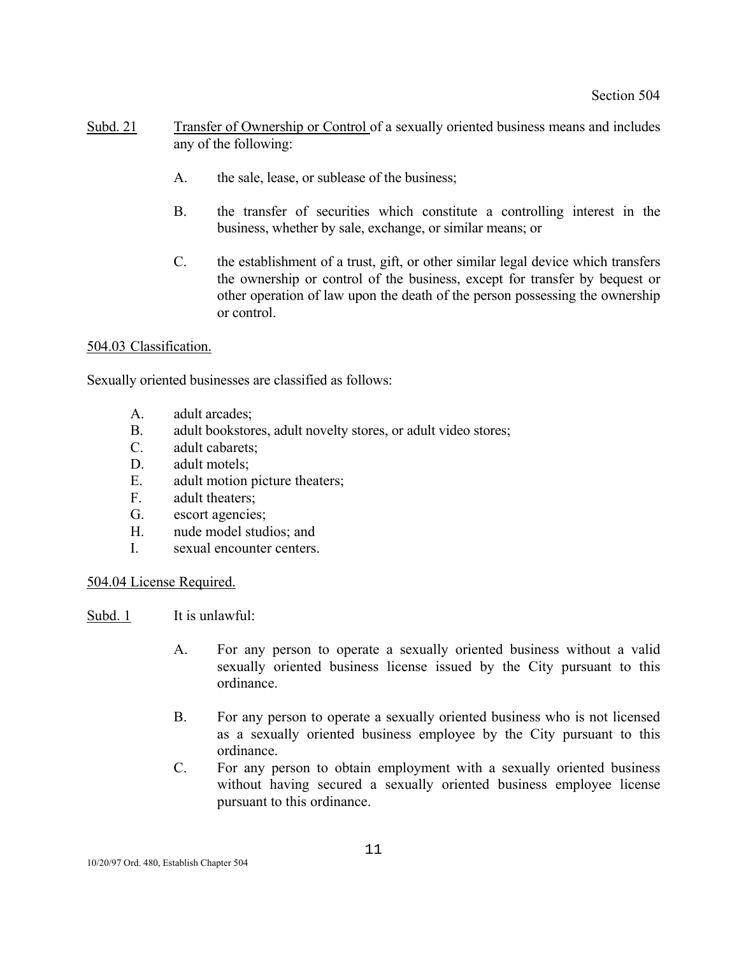- Subd. 21 Transfer of Ownership or Control of a sexually oriented business means and includes any of the following:
	- A. the sale, lease, or sublease of the business;
	- B. the transfer of securities which constitute a controlling interest in the business, whether by sale, exchange, or similar means; or
	- C. the establishment of a trust, gift, or other similar legal device which transfers the ownership or control of the business, except for transfer by bequest or other operation of law upon the death of the person possessing the ownership or control.

### 504.03 Classification.

Sexually oriented businesses are classified as follows:

- A. adult arcades;
- B. adult bookstores, adult novelty stores, or adult video stores;
- C. adult cabarets;
- D. adult motels;
- E. adult motion picture theaters;
- F. adult theaters;
- G. escort agencies;
- H. nude model studios; and
- I. sexual encounter centers.

504.04 License Required.

Subd. 1 It is unlawful:

- A. For any person to operate a sexually oriented business without a valid sexually oriented business license issued by the City pursuant to this ordinance.
- B. For any person to operate a sexually oriented business who is not licensed as a sexually oriented business employee by the City pursuant to this ordinance.
- C. For any person to obtain employment with a sexually oriented business without having secured a sexually oriented business employee license pursuant to this ordinance.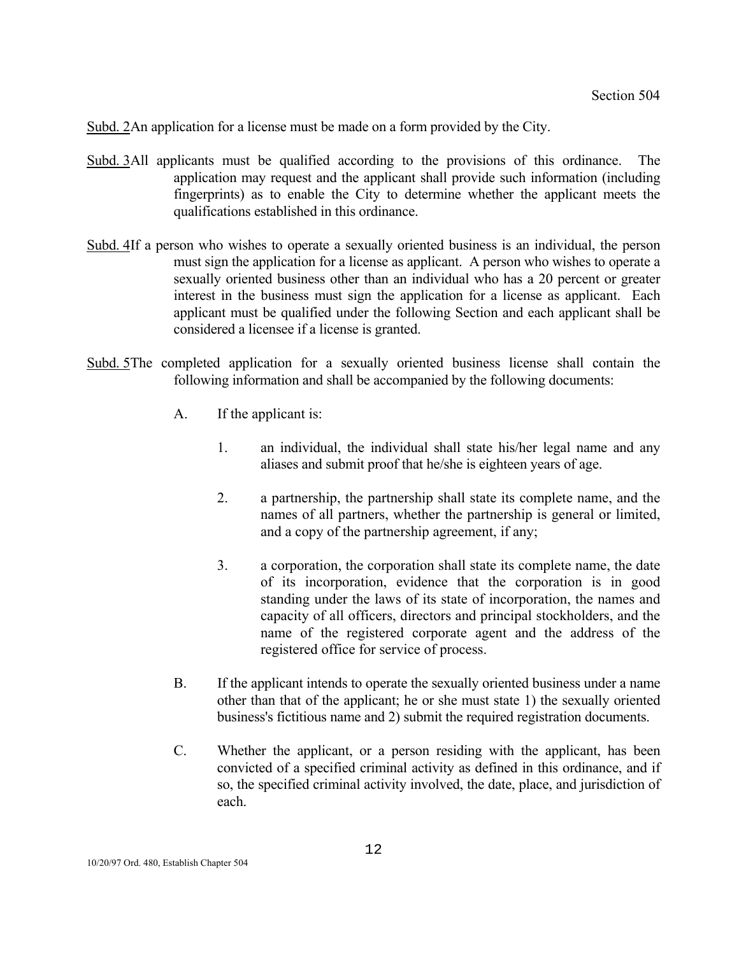Subd. 2 An application for a license must be made on a form provided by the City.

- Subd. 3 All applicants must be qualified according to the provisions of this ordinance. The application may request and the applicant shall provide such information (including fingerprints) as to enable the City to determine whether the applicant meets the qualifications established in this ordinance.
- Subd. 4If a person who wishes to operate a sexually oriented business is an individual, the person must sign the application for a license as applicant. A person who wishes to operate a sexually oriented business other than an individual who has a 20 percent or greater interest in the business must sign the application for a license as applicant. Each applicant must be qualified under the following Section and each applicant shall be considered a licensee if a license is granted.
- Subd. 5 The completed application for a sexually oriented business license shall contain the following information and shall be accompanied by the following documents:
	- A. If the applicant is:
		- 1. an individual, the individual shall state his/her legal name and any aliases and submit proof that he/she is eighteen years of age.
		- 2. a partnership, the partnership shall state its complete name, and the names of all partners, whether the partnership is general or limited, and a copy of the partnership agreement, if any;
		- 3. a corporation, the corporation shall state its complete name, the date of its incorporation, evidence that the corporation is in good standing under the laws of its state of incorporation, the names and capacity of all officers, directors and principal stockholders, and the name of the registered corporate agent and the address of the registered office for service of process.
	- B. If the applicant intends to operate the sexually oriented business under a name other than that of the applicant; he or she must state 1) the sexually oriented business's fictitious name and 2) submit the required registration documents.
	- C. Whether the applicant, or a person residing with the applicant, has been convicted of a specified criminal activity as defined in this ordinance, and if so, the specified criminal activity involved, the date, place, and jurisdiction of each.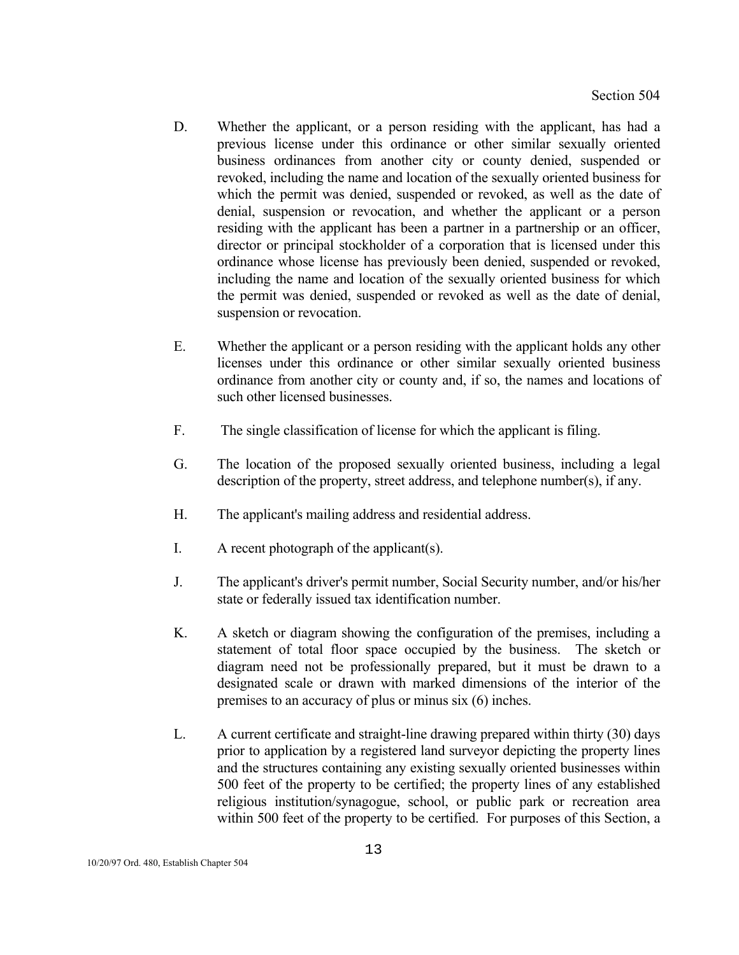- D. Whether the applicant, or a person residing with the applicant, has had a previous license under this ordinance or other similar sexually oriented business ordinances from another city or county denied, suspended or revoked, including the name and location of the sexually oriented business for which the permit was denied, suspended or revoked, as well as the date of denial, suspension or revocation, and whether the applicant or a person residing with the applicant has been a partner in a partnership or an officer, director or principal stockholder of a corporation that is licensed under this ordinance whose license has previously been denied, suspended or revoked, including the name and location of the sexually oriented business for which the permit was denied, suspended or revoked as well as the date of denial, suspension or revocation.
- E. Whether the applicant or a person residing with the applicant holds any other licenses under this ordinance or other similar sexually oriented business ordinance from another city or county and, if so, the names and locations of such other licensed businesses.
- F. The single classification of license for which the applicant is filing.
- G. The location of the proposed sexually oriented business, including a legal description of the property, street address, and telephone number(s), if any.
- H. The applicant's mailing address and residential address.
- I. A recent photograph of the applicant(s).
- J. The applicant's driver's permit number, Social Security number, and/or his/her state or federally issued tax identification number.
- K. A sketch or diagram showing the configuration of the premises, including a statement of total floor space occupied by the business. The sketch or diagram need not be professionally prepared, but it must be drawn to a designated scale or drawn with marked dimensions of the interior of the premises to an accuracy of plus or minus six (6) inches.
- L. A current certificate and straight-line drawing prepared within thirty (30) days prior to application by a registered land surveyor depicting the property lines and the structures containing any existing sexually oriented businesses within 500 feet of the property to be certified; the property lines of any established religious institution/synagogue, school, or public park or recreation area within 500 feet of the property to be certified. For purposes of this Section, a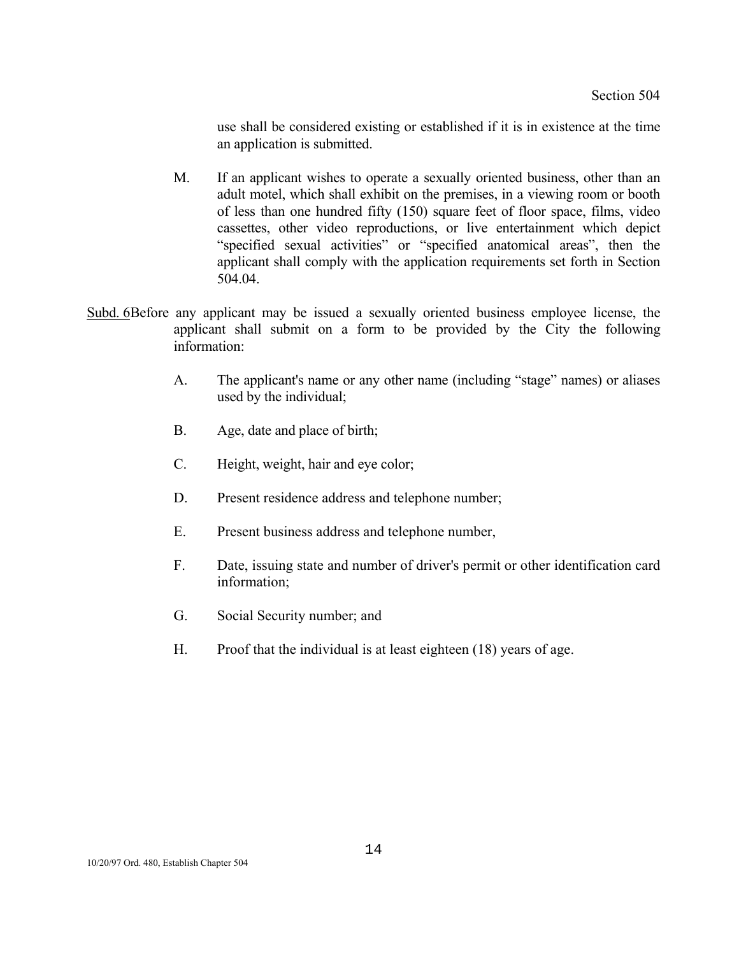use shall be considered existing or established if it is in existence at the time an application is submitted.

- M. If an applicant wishes to operate a sexually oriented business, other than an adult motel, which shall exhibit on the premises, in a viewing room or booth of less than one hundred fifty (150) square feet of floor space, films, video cassettes, other video reproductions, or live entertainment which depict "specified sexual activities" or "specified anatomical areas", then the applicant shall comply with the application requirements set forth in Section 504.04.
- Subd. 6 Before any applicant may be issued a sexually oriented business employee license, the applicant shall submit on a form to be provided by the City the following information:
	- A. The applicant's name or any other name (including "stage" names) or aliases used by the individual;
	- B. Age, date and place of birth;
	- C. Height, weight, hair and eye color;
	- D. Present residence address and telephone number;
	- E. Present business address and telephone number,
	- F. Date, issuing state and number of driver's permit or other identification card information;
	- G. Social Security number; and
	- H. Proof that the individual is at least eighteen (18) years of age.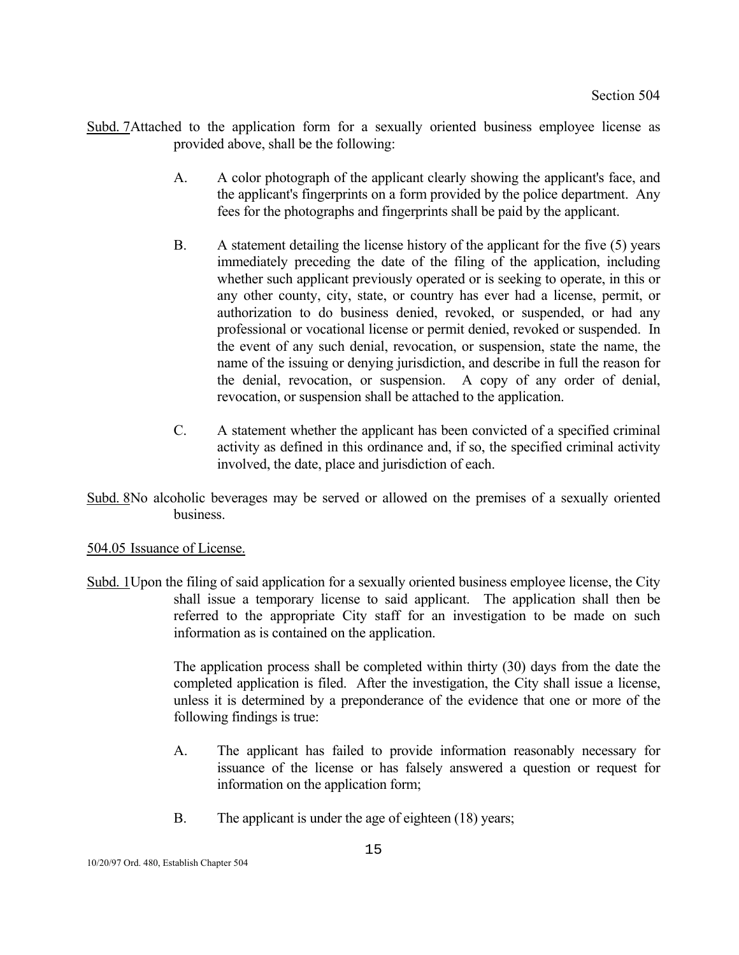- Subd. 7 Attached to the application form for a sexually oriented business employee license as provided above, shall be the following:
	- A. A color photograph of the applicant clearly showing the applicant's face, and the applicant's fingerprints on a form provided by the police department. Any fees for the photographs and fingerprints shall be paid by the applicant.
	- B. A statement detailing the license history of the applicant for the five (5) years immediately preceding the date of the filing of the application, including whether such applicant previously operated or is seeking to operate, in this or any other county, city, state, or country has ever had a license, permit, or authorization to do business denied, revoked, or suspended, or had any professional or vocational license or permit denied, revoked or suspended. In the event of any such denial, revocation, or suspension, state the name, the name of the issuing or denying jurisdiction, and describe in full the reason for the denial, revocation, or suspension. A copy of any order of denial, revocation, or suspension shall be attached to the application.
	- C. A statement whether the applicant has been convicted of a specified criminal activity as defined in this ordinance and, if so, the specified criminal activity involved, the date, place and jurisdiction of each.
- Subd. 8 No alcoholic beverages may be served or allowed on the premises of a sexually oriented business.

## 504.05 Issuance of License.

Subd. 1 Upon the filing of said application for a sexually oriented business employee license, the City shall issue a temporary license to said applicant. The application shall then be referred to the appropriate City staff for an investigation to be made on such information as is contained on the application.

> The application process shall be completed within thirty (30) days from the date the completed application is filed. After the investigation, the City shall issue a license, unless it is determined by a preponderance of the evidence that one or more of the following findings is true:

- A. The applicant has failed to provide information reasonably necessary for issuance of the license or has falsely answered a question or request for information on the application form;
- B. The applicant is under the age of eighteen (18) years;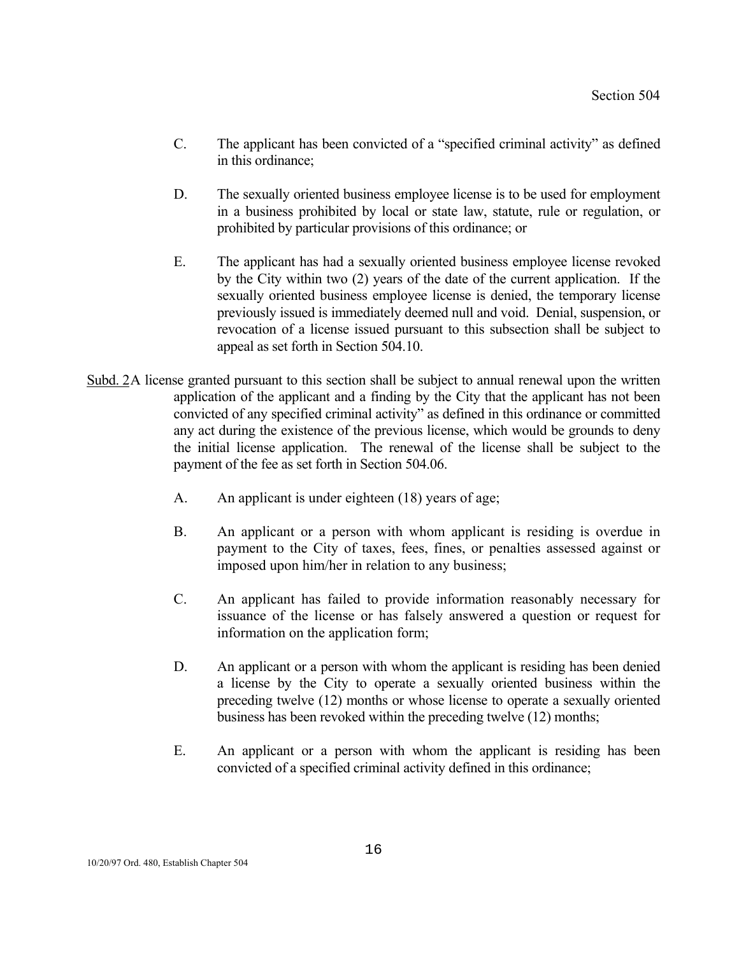- C. The applicant has been convicted of a "specified criminal activity" as defined in this ordinance;
- D. The sexually oriented business employee license is to be used for employment in a business prohibited by local or state law, statute, rule or regulation, or prohibited by particular provisions of this ordinance; or
- E. The applicant has had a sexually oriented business employee license revoked by the City within two (2) years of the date of the current application. If the sexually oriented business employee license is denied, the temporary license previously issued is immediately deemed null and void. Denial, suspension, or revocation of a license issued pursuant to this subsection shall be subject to appeal as set forth in Section 504.10.
- Subd. 2 A license granted pursuant to this section shall be subject to annual renewal upon the written application of the applicant and a finding by the City that the applicant has not been convicted of any specified criminal activity" as defined in this ordinance or committed any act during the existence of the previous license, which would be grounds to deny the initial license application. The renewal of the license shall be subject to the payment of the fee as set forth in Section 504.06.
	- A. An applicant is under eighteen (18) years of age;
	- B. An applicant or a person with whom applicant is residing is overdue in payment to the City of taxes, fees, fines, or penalties assessed against or imposed upon him/her in relation to any business;
	- C. An applicant has failed to provide information reasonably necessary for issuance of the license or has falsely answered a question or request for information on the application form;
	- D. An applicant or a person with whom the applicant is residing has been denied a license by the City to operate a sexually oriented business within the preceding twelve (12) months or whose license to operate a sexually oriented business has been revoked within the preceding twelve (12) months;
	- E. An applicant or a person with whom the applicant is residing has been convicted of a specified criminal activity defined in this ordinance;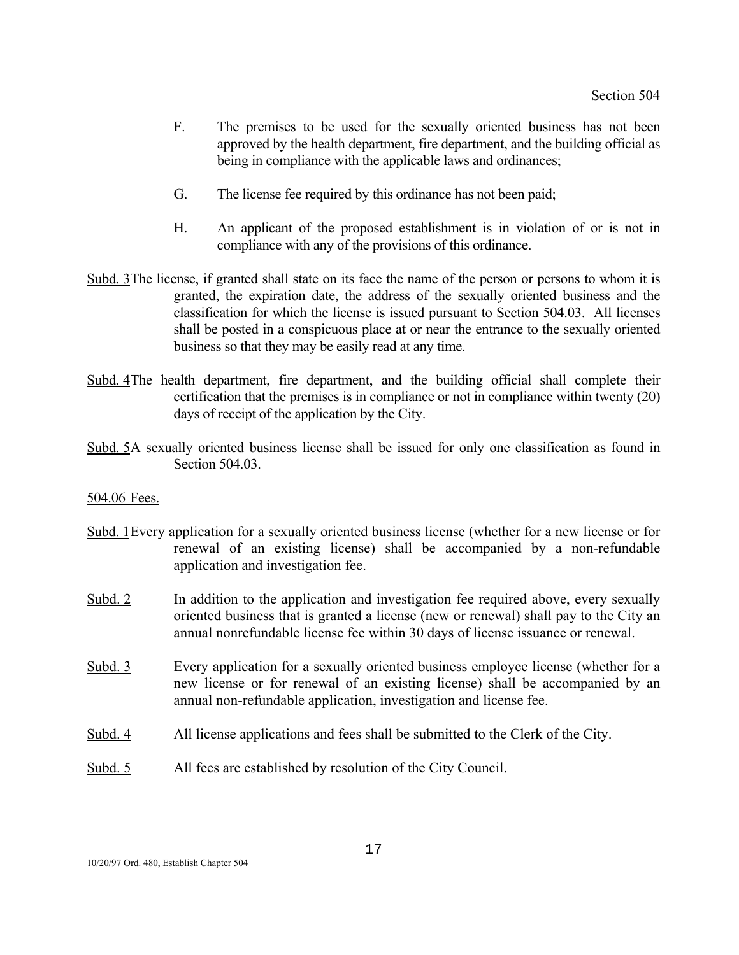- F. The premises to be used for the sexually oriented business has not been approved by the health department, fire department, and the building official as being in compliance with the applicable laws and ordinances;
- G. The license fee required by this ordinance has not been paid;
- H. An applicant of the proposed establishment is in violation of or is not in compliance with any of the provisions of this ordinance.
- Subd. 3 The license, if granted shall state on its face the name of the person or persons to whom it is granted, the expiration date, the address of the sexually oriented business and the classification for which the license is issued pursuant to Section 504.03. All licenses shall be posted in a conspicuous place at or near the entrance to the sexually oriented business so that they may be easily read at any time.
- Subd. 4 The health department, fire department, and the building official shall complete their certification that the premises is in compliance or not in compliance within twenty (20) days of receipt of the application by the City.
- Subd. 5A sexually oriented business license shall be issued for only one classification as found in Section 504.03.

#### 504.06 Fees.

- Subd. 1 Every application for a sexually oriented business license (whether for a new license or for renewal of an existing license) shall be accompanied by a non-refundable application and investigation fee.
- Subd. 2 In addition to the application and investigation fee required above, every sexually oriented business that is granted a license (new or renewal) shall pay to the City an annual nonrefundable license fee within 30 days of license issuance or renewal.
- Subd. 3 Every application for a sexually oriented business employee license (whether for a new license or for renewal of an existing license) shall be accompanied by an annual non-refundable application, investigation and license fee.
- Subd. 4 All license applications and fees shall be submitted to the Clerk of the City.
- Subd. 5 All fees are established by resolution of the City Council.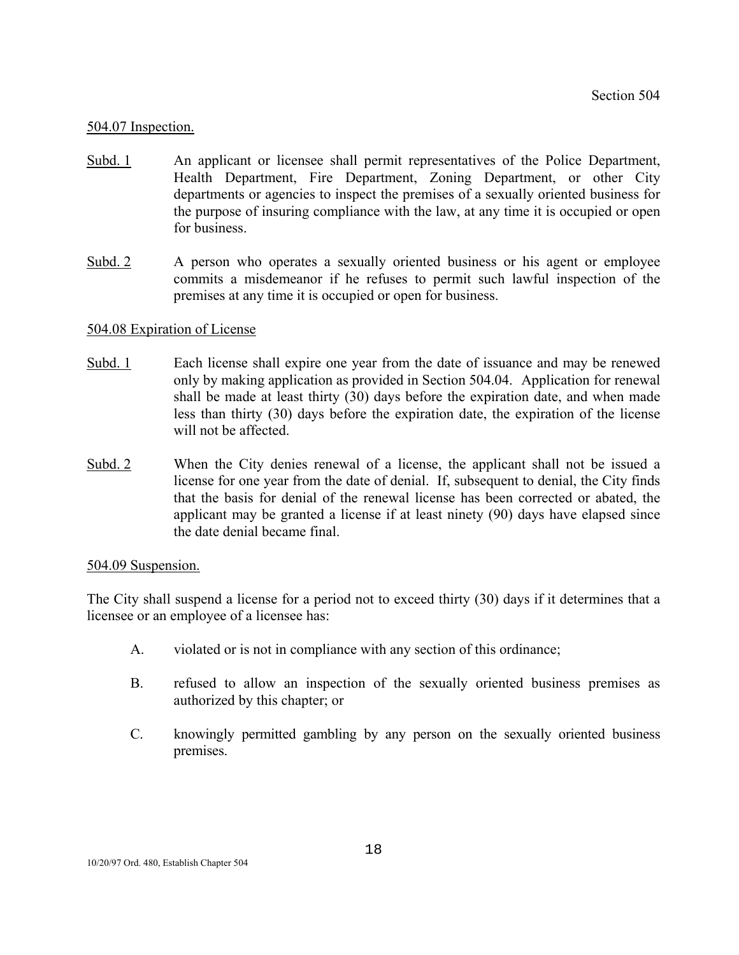### 504.07 Inspection.

- Subd. 1 An applicant or licensee shall permit representatives of the Police Department, Health Department, Fire Department, Zoning Department, or other City departments or agencies to inspect the premises of a sexually oriented business for the purpose of insuring compliance with the law, at any time it is occupied or open for business.
- Subd. 2 A person who operates a sexually oriented business or his agent or employee commits a misdemeanor if he refuses to permit such lawful inspection of the premises at any time it is occupied or open for business.

### 504.08 Expiration of License

- Subd. 1 Each license shall expire one year from the date of issuance and may be renewed only by making application as provided in Section 504.04. Application for renewal shall be made at least thirty (30) days before the expiration date, and when made less than thirty (30) days before the expiration date, the expiration of the license will not be affected.
- Subd. 2 When the City denies renewal of a license, the applicant shall not be issued a license for one year from the date of denial. If, subsequent to denial, the City finds that the basis for denial of the renewal license has been corrected or abated, the applicant may be granted a license if at least ninety (90) days have elapsed since the date denial became final.

### 504.09 Suspension.

The City shall suspend a license for a period not to exceed thirty (30) days if it determines that a licensee or an employee of a licensee has:

- A. violated or is not in compliance with any section of this ordinance;
- B. refused to allow an inspection of the sexually oriented business premises as authorized by this chapter; or
- C. knowingly permitted gambling by any person on the sexually oriented business premises.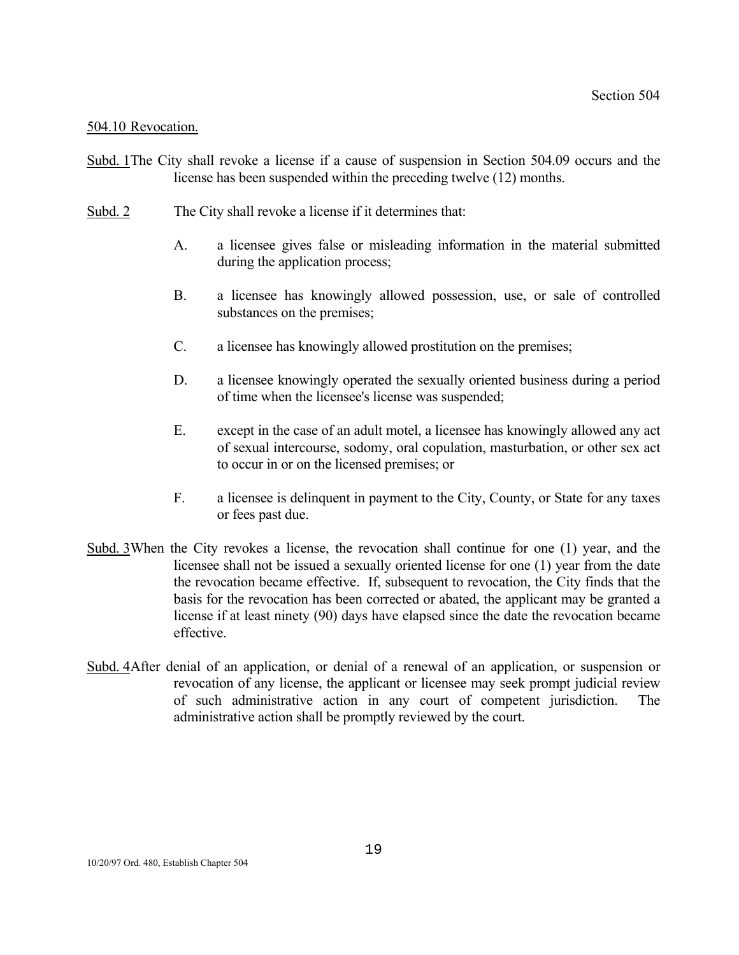### 504.10 Revocation.

- Subd. 1 The City shall revoke a license if a cause of suspension in Section 504.09 occurs and the license has been suspended within the preceding twelve (12) months.
- Subd. 2 The City shall revoke a license if it determines that:
	- A. a licensee gives false or misleading information in the material submitted during the application process;
	- B. a licensee has knowingly allowed possession, use, or sale of controlled substances on the premises;
	- C. a licensee has knowingly allowed prostitution on the premises;
	- D. a licensee knowingly operated the sexually oriented business during a period of time when the licensee's license was suspended;
	- E. except in the case of an adult motel, a licensee has knowingly allowed any act of sexual intercourse, sodomy, oral copulation, masturbation, or other sex act to occur in or on the licensed premises; or
	- F. a licensee is delinquent in payment to the City, County, or State for any taxes or fees past due.
- Subd. 3 When the City revokes a license, the revocation shall continue for one (1) year, and the licensee shall not be issued a sexually oriented license for one (1) year from the date the revocation became effective. If, subsequent to revocation, the City finds that the basis for the revocation has been corrected or abated, the applicant may be granted a license if at least ninety (90) days have elapsed since the date the revocation became effective.
- Subd. 4 After denial of an application, or denial of a renewal of an application, or suspension or revocation of any license, the applicant or licensee may seek prompt judicial review of such administrative action in any court of competent jurisdiction. The administrative action shall be promptly reviewed by the court.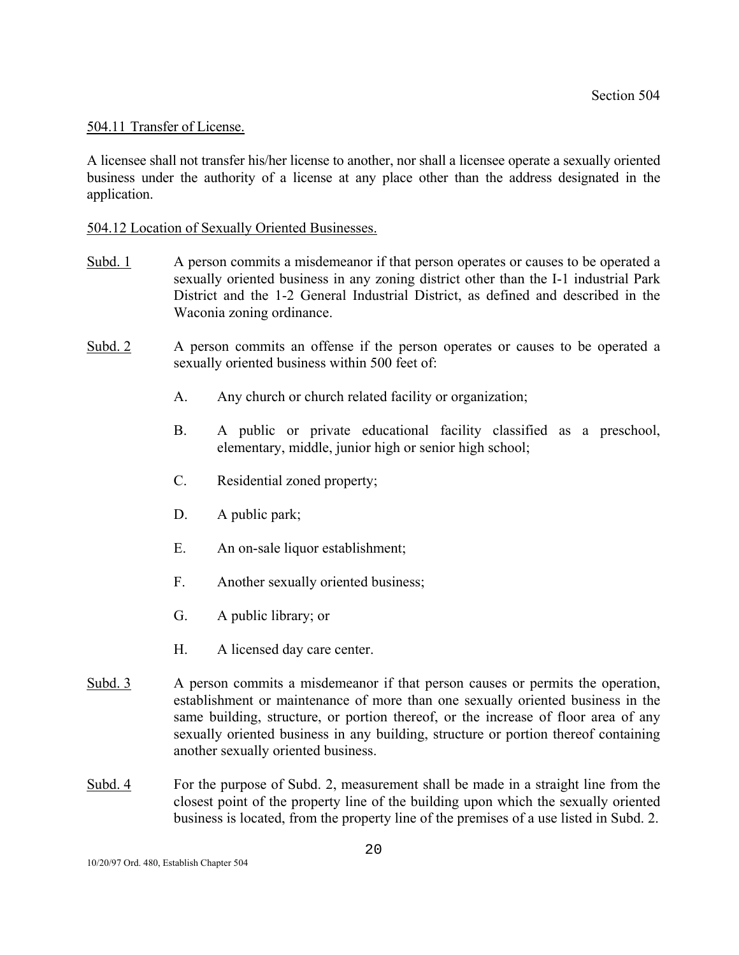### 504.11 Transfer of License.

A licensee shall not transfer his/her license to another, nor shall a licensee operate a sexually oriented business under the authority of a license at any place other than the address designated in the application.

### 504.12 Location of Sexually Oriented Businesses.

- Subd. 1 A person commits a misdemeanor if that person operates or causes to be operated a sexually oriented business in any zoning district other than the I-1 industrial Park District and the 1-2 General Industrial District, as defined and described in the Waconia zoning ordinance.
- Subd. 2 A person commits an offense if the person operates or causes to be operated a sexually oriented business within 500 feet of:
	- A. Any church or church related facility or organization;
	- B. A public or private educational facility classified as a preschool, elementary, middle, junior high or senior high school;
	- C. Residential zoned property;
	- D. A public park;
	- E. An on-sale liquor establishment;
	- F. Another sexually oriented business;
	- G. A public library; or
	- H. A licensed day care center.
- Subd. 3 A person commits a misdemeanor if that person causes or permits the operation, establishment or maintenance of more than one sexually oriented business in the same building, structure, or portion thereof, or the increase of floor area of any sexually oriented business in any building, structure or portion thereof containing another sexually oriented business.
- Subd. 4 For the purpose of Subd. 2, measurement shall be made in a straight line from the closest point of the property line of the building upon which the sexually oriented business is located, from the property line of the premises of a use listed in Subd. 2.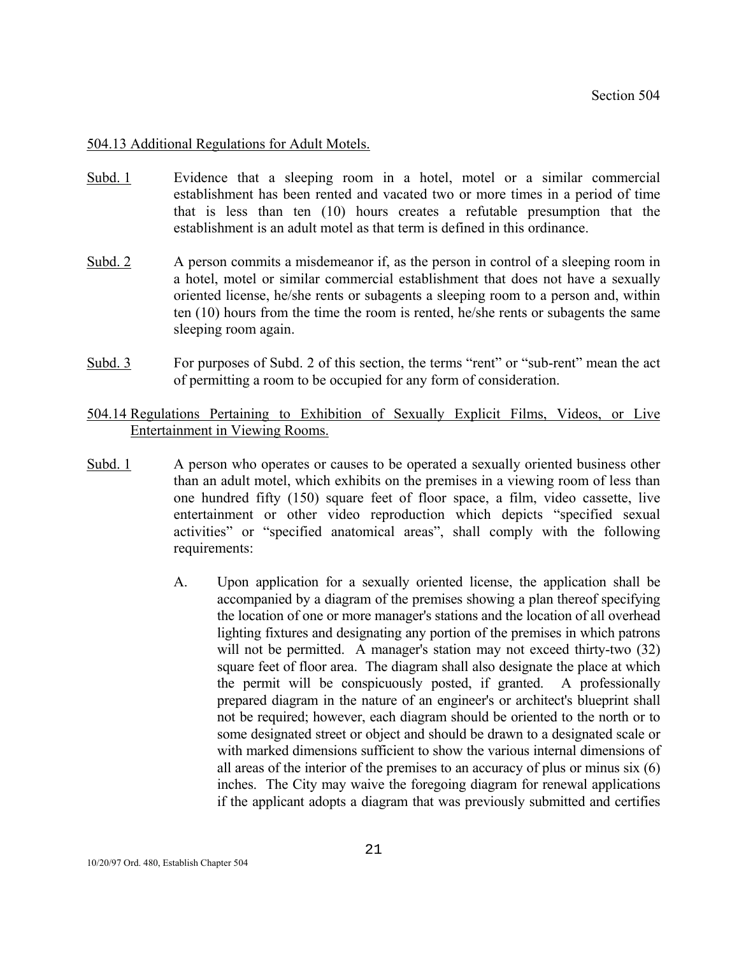### 504.13 Additional Regulations for Adult Motels.

- Subd. 1 Evidence that a sleeping room in a hotel, motel or a similar commercial establishment has been rented and vacated two or more times in a period of time that is less than ten (10) hours creates a refutable presumption that the establishment is an adult motel as that term is defined in this ordinance.
- Subd. 2 A person commits a misdemeanor if, as the person in control of a sleeping room in a hotel, motel or similar commercial establishment that does not have a sexually oriented license, he/she rents or subagents a sleeping room to a person and, within ten (10) hours from the time the room is rented, he/she rents or subagents the same sleeping room again.
- Subd. 3 For purposes of Subd. 2 of this section, the terms "rent" or "sub-rent" mean the act of permitting a room to be occupied for any form of consideration.
- 504.14 Regulations Pertaining to Exhibition of Sexually Explicit Films, Videos, or Live Entertainment in Viewing Rooms.
- Subd. 1 A person who operates or causes to be operated a sexually oriented business other than an adult motel, which exhibits on the premises in a viewing room of less than one hundred fifty (150) square feet of floor space, a film, video cassette, live entertainment or other video reproduction which depicts "specified sexual activities" or "specified anatomical areas", shall comply with the following requirements:
	- A. Upon application for a sexually oriented license, the application shall be accompanied by a diagram of the premises showing a plan thereof specifying the location of one or more manager's stations and the location of all overhead lighting fixtures and designating any portion of the premises in which patrons will not be permitted. A manager's station may not exceed thirty-two (32) square feet of floor area. The diagram shall also designate the place at which the permit will be conspicuously posted, if granted. A professionally prepared diagram in the nature of an engineer's or architect's blueprint shall not be required; however, each diagram should be oriented to the north or to some designated street or object and should be drawn to a designated scale or with marked dimensions sufficient to show the various internal dimensions of all areas of the interior of the premises to an accuracy of plus or minus six (6) inches. The City may waive the foregoing diagram for renewal applications if the applicant adopts a diagram that was previously submitted and certifies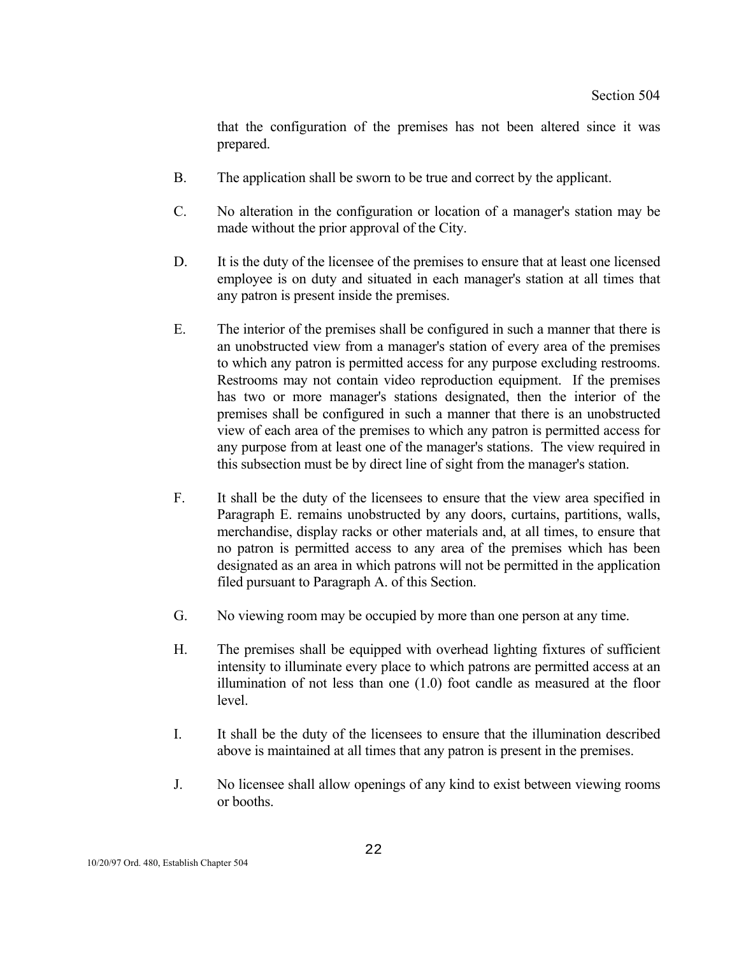that the configuration of the premises has not been altered since it was prepared.

- B. The application shall be sworn to be true and correct by the applicant.
- C. No alteration in the configuration or location of a manager's station may be made without the prior approval of the City.
- D. It is the duty of the licensee of the premises to ensure that at least one licensed employee is on duty and situated in each manager's station at all times that any patron is present inside the premises.
- E. The interior of the premises shall be configured in such a manner that there is an unobstructed view from a manager's station of every area of the premises to which any patron is permitted access for any purpose excluding restrooms. Restrooms may not contain video reproduction equipment. If the premises has two or more manager's stations designated, then the interior of the premises shall be configured in such a manner that there is an unobstructed view of each area of the premises to which any patron is permitted access for any purpose from at least one of the manager's stations. The view required in this subsection must be by direct line of sight from the manager's station.
- F. It shall be the duty of the licensees to ensure that the view area specified in Paragraph E. remains unobstructed by any doors, curtains, partitions, walls, merchandise, display racks or other materials and, at all times, to ensure that no patron is permitted access to any area of the premises which has been designated as an area in which patrons will not be permitted in the application filed pursuant to Paragraph A. of this Section.
- G. No viewing room may be occupied by more than one person at any time.
- H. The premises shall be equipped with overhead lighting fixtures of sufficient intensity to illuminate every place to which patrons are permitted access at an illumination of not less than one (1.0) foot candle as measured at the floor level.
- I. It shall be the duty of the licensees to ensure that the illumination described above is maintained at all times that any patron is present in the premises.
- J. No licensee shall allow openings of any kind to exist between viewing rooms or booths.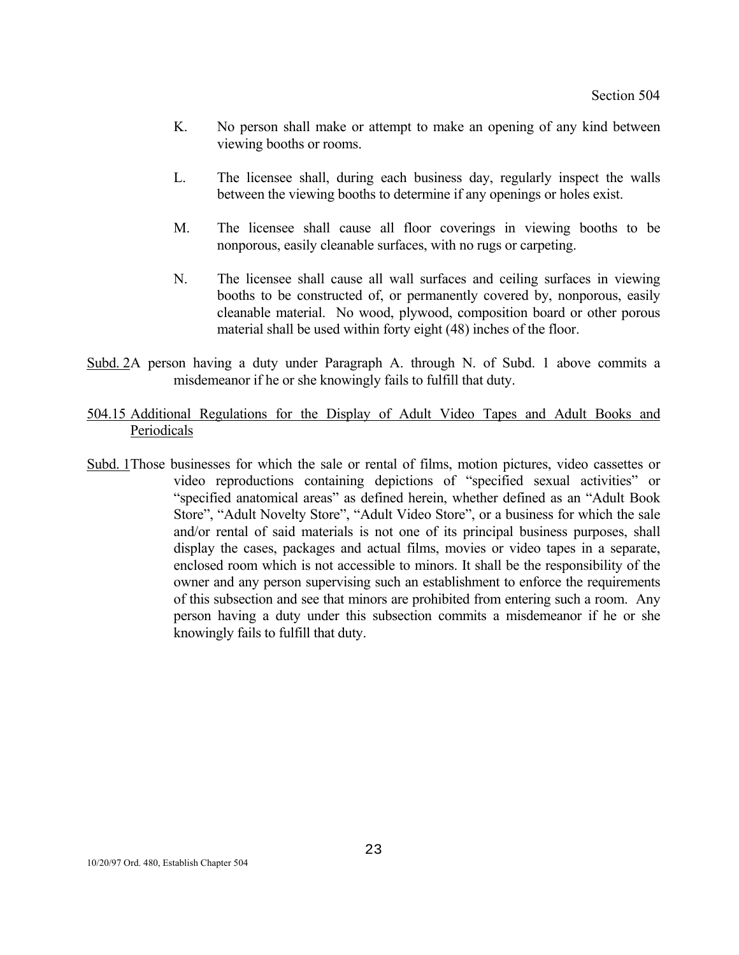- K. No person shall make or attempt to make an opening of any kind between viewing booths or rooms.
- L. The licensee shall, during each business day, regularly inspect the walls between the viewing booths to determine if any openings or holes exist.
- M. The licensee shall cause all floor coverings in viewing booths to be nonporous, easily cleanable surfaces, with no rugs or carpeting.
- N. The licensee shall cause all wall surfaces and ceiling surfaces in viewing booths to be constructed of, or permanently covered by, nonporous, easily cleanable material. No wood, plywood, composition board or other porous material shall be used within forty eight (48) inches of the floor.
- Subd. 2A person having a duty under Paragraph A. through N. of Subd. 1 above commits a misdemeanor if he or she knowingly fails to fulfill that duty.

### 504.15 Additional Regulations for the Display of Adult Video Tapes and Adult Books and Periodicals

Subd. 1 Those businesses for which the sale or rental of films, motion pictures, video cassettes or video reproductions containing depictions of "specified sexual activities" or "specified anatomical areas" as defined herein, whether defined as an "Adult Book Store", "Adult Novelty Store", "Adult Video Store", or a business for which the sale and/or rental of said materials is not one of its principal business purposes, shall display the cases, packages and actual films, movies or video tapes in a separate, enclosed room which is not accessible to minors. It shall be the responsibility of the owner and any person supervising such an establishment to enforce the requirements of this subsection and see that minors are prohibited from entering such a room. Any person having a duty under this subsection commits a misdemeanor if he or she knowingly fails to fulfill that duty.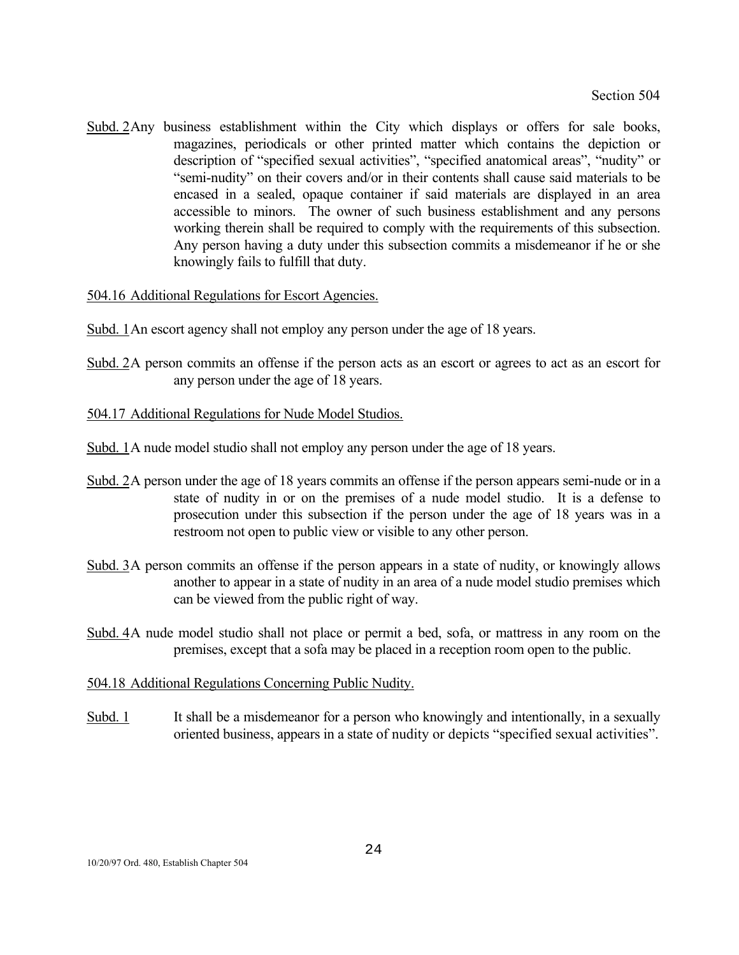Subd. 2 Any business establishment within the City which displays or offers for sale books, magazines, periodicals or other printed matter which contains the depiction or description of "specified sexual activities", "specified anatomical areas", "nudity" or "semi-nudity" on their covers and/or in their contents shall cause said materials to be encased in a sealed, opaque container if said materials are displayed in an area accessible to minors. The owner of such business establishment and any persons working therein shall be required to comply with the requirements of this subsection. Any person having a duty under this subsection commits a misdemeanor if he or she knowingly fails to fulfill that duty.

### 504.16 Additional Regulations for Escort Agencies.

- Subd. 1 An escort agency shall not employ any person under the age of 18 years.
- Subd. 2A person commits an offense if the person acts as an escort or agrees to act as an escort for any person under the age of 18 years.
- 504.17 Additional Regulations for Nude Model Studios.
- Subd. 1A nude model studio shall not employ any person under the age of 18 years.
- Subd. 2A person under the age of 18 years commits an offense if the person appears semi-nude or in a state of nudity in or on the premises of a nude model studio. It is a defense to prosecution under this subsection if the person under the age of 18 years was in a restroom not open to public view or visible to any other person.
- Subd. 3 A person commits an offense if the person appears in a state of nudity, or knowingly allows another to appear in a state of nudity in an area of a nude model studio premises which can be viewed from the public right of way.
- Subd. 4A nude model studio shall not place or permit a bed, sofa, or mattress in any room on the premises, except that a sofa may be placed in a reception room open to the public.

### 504.18 Additional Regulations Concerning Public Nudity.

Subd. 1 It shall be a misdemeanor for a person who knowingly and intentionally, in a sexually oriented business, appears in a state of nudity or depicts "specified sexual activities".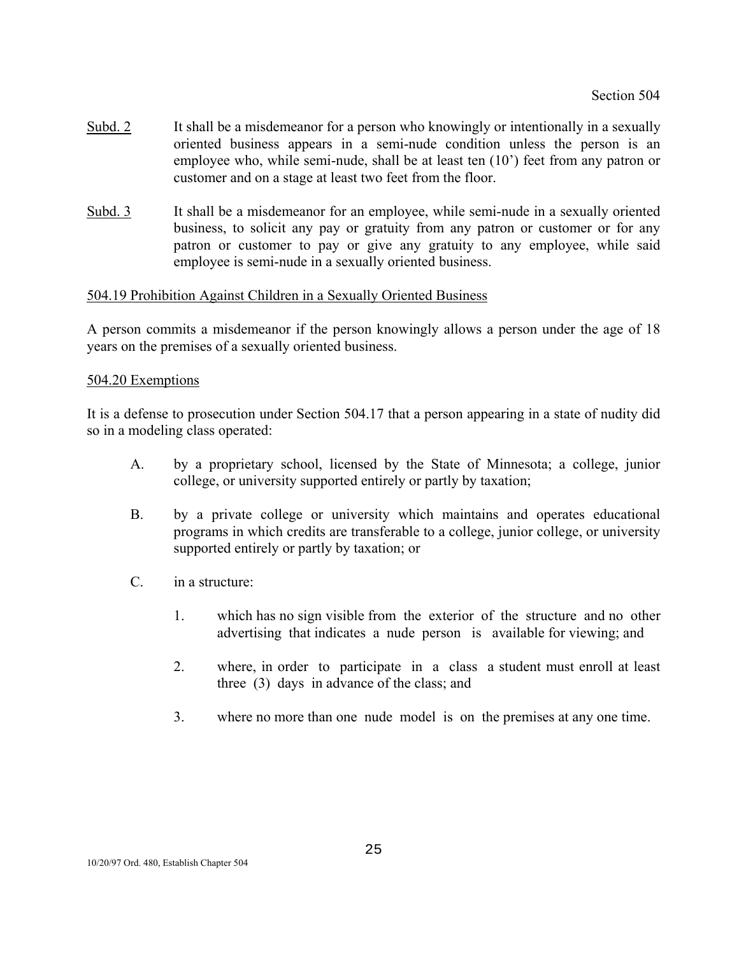- Subd. 2 It shall be a misdemeanor for a person who knowingly or intentionally in a sexually oriented business appears in a semi-nude condition unless the person is an employee who, while semi-nude, shall be at least ten (10') feet from any patron or customer and on a stage at least two feet from the floor.
- Subd. 3 It shall be a misdemeanor for an employee, while semi-nude in a sexually oriented business, to solicit any pay or gratuity from any patron or customer or for any patron or customer to pay or give any gratuity to any employee, while said employee is semi-nude in a sexually oriented business.

### 504.19 Prohibition Against Children in a Sexually Oriented Business

A person commits a misdemeanor if the person knowingly allows a person under the age of 18 years on the premises of a sexually oriented business.

### 504.20 Exemptions

It is a defense to prosecution under Section 504.17 that a person appearing in a state of nudity did so in a modeling class operated:

- A. by a proprietary school, licensed by the State of Minnesota; a college, junior college, or university supported entirely or partly by taxation;
- B. by a private college or university which maintains and operates educational programs in which credits are transferable to a college, junior college, or university supported entirely or partly by taxation; or
- C. in a structure:
	- 1. which has no sign visible from the exterior of the structure and no other advertising that indicates a nude person is available for viewing; and
	- 2. where, in order to participate in a class a student must enroll at least three (3) days in advance of the class; and
	- 3. where no more than one nude model is on the premises at any one time.